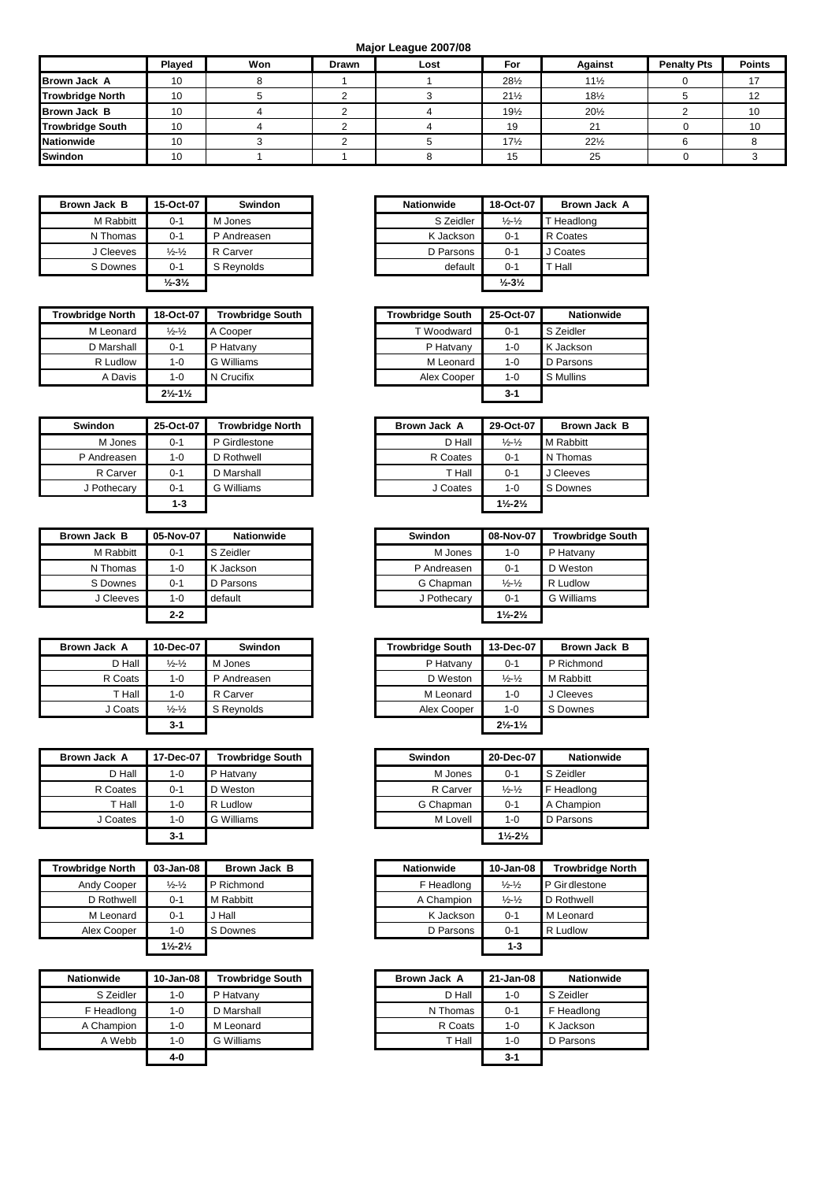**Major League 2007/08**

|                         | Played | Won | <b>Drawn</b> | Lost | For             | <b>Against</b>  | <b>Penalty Pts</b> | <b>Points</b> |
|-------------------------|--------|-----|--------------|------|-----------------|-----------------|--------------------|---------------|
| <b>Brown Jack A</b>     | 10     |     |              |      | 281/2           | $11\frac{1}{2}$ |                    |               |
| <b>Trowbridge North</b> | 10     |     |              |      | $21\frac{1}{2}$ | $18\frac{1}{2}$ |                    |               |
| <b>Brown Jack B</b>     | 10     |     |              |      | 191/2           | $20\frac{1}{2}$ |                    | 10            |
| <b>Trowbridge South</b> | 10     |     |              |      | 19              | 21              |                    | 10            |
| <b>Nationwide</b>       | 10     |     |              |      | $17\frac{1}{2}$ | $22\frac{1}{2}$ |                    |               |
| <b>Swindon</b>          | 10     |     |              |      | 15              | 25              |                    |               |

| Brown Jack B | 15-Oct-07                     | <b>Swindon</b> | <b>Nationwide</b> | 18-Oct-07                     | Brown,     |
|--------------|-------------------------------|----------------|-------------------|-------------------------------|------------|
| M Rabbitt    | $0 - 1$                       | M Jones        | S Zeidler         | $\frac{1}{2}$ - $\frac{1}{2}$ | T Headlong |
| N Thomas     | $0 - 1$                       | P Andreasen    | K Jackson         | $0 - 1$                       | R Coates   |
| J Cleeves    | $\frac{1}{2}$ - $\frac{1}{2}$ | R Carver       | D Parsons         | $0 - 1$                       | J Coates   |
| S Downes     | $0 - 1$                       | S Revnolds     | default           | $0 - 1$                       | T Hall     |
|              | $\frac{1}{2} - 3\frac{1}{2}$  |                |                   | $\frac{1}{2} - 3\frac{1}{2}$  |            |

| <b>Trowbridge North</b> | 18-Oct-07                        | <b>Trowbridge South</b> | <b>Trowbridge South</b> | 25-Oct-07 | <b>Nationwide</b> |
|-------------------------|----------------------------------|-------------------------|-------------------------|-----------|-------------------|
| M Leonard               | $\frac{1}{2}$ - $\frac{1}{2}$    | A Cooper                | T Woodward              | $0 - 1$   | S Zeidler         |
| D Marshall              | $0 - 1$                          | P Hatvany               | P Hatvany               | 1-0       | K Jackson         |
| R Ludlow                | $1 - 0$                          | G Williams              | M Leonard               | $1 - 0$   | D Parsons         |
| A Davis                 | 1-0                              | N Crucifix              | Alex Cooper             | $1 - 0$   | S Mullins         |
|                         | $2\frac{1}{2}$ -11/ <sub>2</sub> |                         |                         | $3-1$     |                   |

| <b>Swindon</b> | 25-Oct-07 | <b>Trowbridge North</b> |
|----------------|-----------|-------------------------|
| M Jones        | $0 - 1$   | P Girdlestone           |
| P Andreasen    | $1 - 0$   | D Rothwell              |
| R Carver       | $0 - 1$   | D Marshall              |
| J Pothecary    | $0 - 1$   | <b>G</b> Williams       |
|                | $1 - 3$   |                         |

| Brown Jack B | 05-Nov-07 | <b>Nationwide</b> | <b>Swindon</b> | 08-Nov-07                     | <b>Trowbric</b> |
|--------------|-----------|-------------------|----------------|-------------------------------|-----------------|
| M Rabbitt    | $0 - 1$   | S Zeidler         | M Jones        | $1 - 0$                       | P Hatvany       |
| N Thomas     | $1 - 0$   | K Jackson         | P Andreasen    | $0 - 1$                       | D Weston        |
| S Downes     | $0 - 1$   | D Parsons         | G Chapman      | $\frac{1}{2}$ - $\frac{1}{2}$ | R Ludlow        |
| J Cleeves    | $1 - 0$   | default           | J Pothecary    | $0 - 1$                       | G William       |
|              | $2 - 2$   |                   |                | $1\frac{1}{2} - 2\frac{1}{2}$ |                 |

| Brown Jack A | 10-Dec-07                     | Swindon     |
|--------------|-------------------------------|-------------|
| D Hall       | $\frac{1}{2}$ - $\frac{1}{2}$ | M Jones     |
| R Coats      | $1 - 0$                       | P Andreasen |
| T Hall       | $1 - 0$                       | R Carver    |
| J Coats      | $\frac{1}{2}$ - $\frac{1}{2}$ | S Reynolds  |
|              | $3 - 1$                       |             |

| Brown Jack A | 17-Dec-07 | <b>Trowbridge South</b> | Swindon   | 20-Dec-07                     | <b>Nationwide</b> |
|--------------|-----------|-------------------------|-----------|-------------------------------|-------------------|
| D Hall       | $1 - 0$   | P Hatvany               | M Jones   | $0 - 1$                       | S Zeidler         |
| R Coates     | $0 - 1$   | D Weston                | R Carver  | $\frac{1}{2} - \frac{1}{2}$   | F Headlong        |
| T Hall       | $1 - 0$   | R Ludlow                | G Chapman | $0 - 1$                       | A Champion        |
| J Coates     | $1 - 0$   | G Williams              | M Lovell  | $1 - 0$                       | D Parsons         |
|              | $3 - 1$   |                         |           | $1\frac{1}{2} - 2\frac{1}{2}$ |                   |

| <b>Trowbridge North</b> | 03-Jan-08                     | Brown Jack B | Nationwide | 10-Jan-08                   | Trowbridge     |
|-------------------------|-------------------------------|--------------|------------|-----------------------------|----------------|
| Andy Cooper             | $\frac{1}{2}$ - $\frac{1}{2}$ | P Richmond   | F Headlong | $\frac{1}{2} - \frac{1}{2}$ | P Gir dlestone |
| D Rothwell              | $0 - 1$                       | M Rabbitt    | A Champion | $\frac{1}{2} - \frac{1}{2}$ | D Rothwell     |
| M Leonard               | $0 - 1$                       | J Hall       | K Jackson  | $0 - 1$                     | M Leonard      |
| Alex Cooper             | $1 - 0$                       | S Downes     | D Parsons  | $0 - 1$                     | R Ludlow       |
|                         | $1\frac{1}{2} - 2\frac{1}{2}$ |              |            | $1 - 3$                     |                |

| <b>Nationwide</b> | 10-Jan-08 | <b>Trowbridge South</b> | Brown Jack A | 21-Jan-08 | <b>Nationwide</b> |
|-------------------|-----------|-------------------------|--------------|-----------|-------------------|
| S Zeidler         | $1 - 0$   | P Hatvany               | D Hall       | $1 - 0$   | S Zeidler         |
| F Headlong        | 1-0       | D Marshall              | N Thomas     | $0 - 1$   | F Headlong        |
| A Champion        | $1 - 0$   | M Leonard               | R Coats      | $1 - 0$   | K Jackson         |
| A Webb            | $1 - 0$   | G Williams              | T Hall       | 1-0       | D Parsons         |
|                   | 4-0       |                         |              | $3 - 1$   |                   |

| Brown Jack B | 15-Oct-07                     | <b>Swindon</b> | <b>Nationwide</b> | 18-Oct-07                    | Brown Jack A |
|--------------|-------------------------------|----------------|-------------------|------------------------------|--------------|
| M Rabbitt    | $0 - 1$                       | M Jones        | S Zeidler         | $\frac{1}{2} - \frac{1}{2}$  | T Headlong   |
| N Thomas     | $0 - 1$                       | P Andreasen    | K Jackson         | $0 - 1$                      | R Coates     |
| J Cleeves    | $\frac{1}{2}$ - $\frac{1}{2}$ | R Carver       | D Parsons         | $0 - 1$                      | J Coates     |
| S Downes     | $0 - 1$                       | S Revnolds     | default           | $0 - 1$                      | T Hall       |
|              | $\frac{1}{2} - 3\frac{1}{2}$  |                |                   | $\frac{1}{2} - 3\frac{1}{2}$ |              |

| ge North | 18-Oct-07                       | <b>Trowbridge South</b> | <b>Trowbridge South</b> | 25-Oct-07 | <b>Nationwide</b> |
|----------|---------------------------------|-------------------------|-------------------------|-----------|-------------------|
| Leonard  | $\frac{1}{2}$ - $\frac{1}{2}$   | A Cooper                | T Woodward              | $0 - 1$   | S Zeidler         |
| Marshall | $0 - 1$                         | P Hatvany               | P Hatvany               | $1 - 0$   | K Jackson         |
| R Ludlow | 1-0                             | G Williams              | M Leonard               | $1 - 0$   | D Parsons         |
| A Davis  | $1 - 0$                         | N Crucifix              | Alex Cooper             | $1 - 0$   | S Mullins         |
|          | $2\frac{1}{2}$ -1 $\frac{1}{2}$ |                         |                         | $3 - 1$   |                   |

| Swindon     | 25-Oct-07 | <b>Trowbridge North</b> | Brown Jack A | 29-Oct-07                       | Brown Jack B |
|-------------|-----------|-------------------------|--------------|---------------------------------|--------------|
| M Jones     | $0 - 1$   | P Girdlestone           | D Hall       | $\frac{1}{2} - \frac{1}{2}$     | M Rabbitt    |
| P Andreasen | 1-0       | D Rothwell              | R Coates     | $0 - 1$                         | N Thomas     |
| R Carver    | 0-1       | D Marshall              | T Hall       | $0 - 1$                         | J Cleeves    |
| J Pothecary | $0 - 1$   | G Williams              | J Coates     | 1-0                             | S Downes     |
|             | $1 - 3$   |                         |              | $1\frac{1}{2}$ - $2\frac{1}{2}$ |              |

| Brown Jack B | 05-Nov-07 | <b>Nationwide</b> | <b>Swindon</b> | 08-Nov-07                     | <b>Trowbridge South</b> |
|--------------|-----------|-------------------|----------------|-------------------------------|-------------------------|
| M Rabbitt    | $0 - 1$   | S Zeidler         | M Jones        | $1 - 0$                       | P Hatvany               |
| N Thomas     | $1 - 0$   | K Jackson         | P Andreasen    | $0 - 1$                       | D Weston                |
| S Downes     | $0 - 1$   | D Parsons         | G Chapman      | $\frac{1}{2}$ - $\frac{1}{2}$ | R Ludlow                |
| J Cleeves    | $1 - 0$   | default           | J Pothecary    | $0 - 1$                       | G Williams              |
|              | $2 - 2$   |                   |                | $1\frac{1}{2} - 2\frac{1}{2}$ |                         |

| Brown Jack A | 10-Dec-07                     | <b>Swindon</b> | <b>Trowbridge South</b> | 13-Dec-07                     | Brown Jack B |
|--------------|-------------------------------|----------------|-------------------------|-------------------------------|--------------|
| D Hall       | $\frac{1}{2}$ - $\frac{1}{2}$ | M Jones        | P Hatvany               | $0 - 1$                       | P Richmond   |
| R Coats      | $1 - 0$                       | P Andreasen    | D Weston                | $\frac{1}{2}$ - $\frac{1}{2}$ | M Rabbitt    |
| T Hall       | $1 - 0$                       | R Carver       | M Leonard               | $1 - 0$                       | l Cleeves    |
| J Coats      | $\frac{1}{2}$ - $\frac{1}{2}$ | S Reynolds     | Alex Cooper             | $1 - 0$                       | S Downes     |
|              | $3 - 1$                       |                |                         | $2\frac{1}{2} - 1\frac{1}{2}$ |              |

| Jack A   | 17-Dec-07 | <b>Trowbridge South</b> | Swindon   | 20-Dec-07                     | <b>Nationwide</b> |
|----------|-----------|-------------------------|-----------|-------------------------------|-------------------|
| D Hall   | $1 - 0$   | P Hatvany               | M Jones   | $0 - 1$                       | S Zeidler         |
| R Coates | $0 - 1$   | D Weston                | R Carver  | $\frac{1}{2} - \frac{1}{2}$   | F Headlong        |
| T Hall   | $1 - 0$   | R Ludlow                | G Chapman | $0 - 1$                       | A Champion        |
| J Coates | 1-0       | G Williams              | M Lovell  | $1 - 0$                       | D Parsons         |
|          | $3 - 1$   |                         |           | $1\frac{1}{2} - 2\frac{1}{2}$ |                   |

| Trowbridge North | 03-Jan-08                     | Brown Jack B | <b>Nationwide</b> | 10-Jan-08                     | <b>Trowbridge North</b> |
|------------------|-------------------------------|--------------|-------------------|-------------------------------|-------------------------|
| Andy Cooper      | $\frac{1}{2}$ - $\frac{1}{2}$ | P Richmond   | F Headlong        | $\frac{1}{2}$ - $\frac{1}{2}$ | P Gir dlestone          |
| D Rothwell       | $0 - 1$                       | M Rabbitt    | A Champion        | $\frac{1}{2}$ - $\frac{1}{2}$ | D Rothwell              |
| M Leonard        | $0 - 1$                       | J Hall       | K Jackson         | $0 - 1$                       | M Leonard               |
| Alex Cooper      | $1 - 0$                       | S Downes     | D Parsons         | $0 - 1$                       | R Ludlow                |
|                  | $1\frac{1}{2} - 2\frac{1}{2}$ |              |                   | $1 - 3$                       |                         |

| <b>ıwide</b> | 10-Jan-08 | <b>Trowbridge South</b> | Brown Jack A | 21-Jan-08 | <b>Nationwide</b> |
|--------------|-----------|-------------------------|--------------|-----------|-------------------|
| S Zeidler    | 1-0       | P Hatvany               | D Hall       | $1 - 0$   | S Zeidler         |
| Headlong     | $1 - 0$   | D Marshall              | N Thomas     | $0 - 1$   | F Headlong        |
| hampion.     | 1-0       | M Leonard               | R Coats      | $1 - 0$   | K Jackson         |
| A Webb       | 1-0       | G Williams              | T Hall       | $1 - 0$   | D Parsons         |
|              | $4 - 0$   |                         |              | $3 - 1$   |                   |